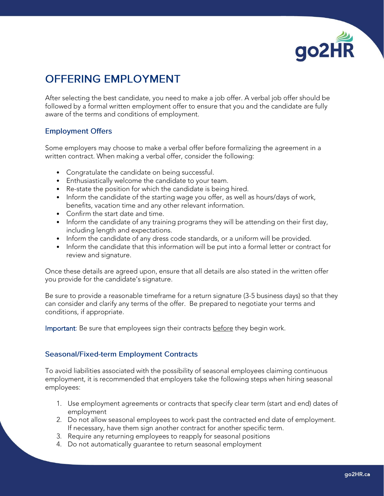

## **OFFERING EMPLOYMENT**

After selecting the best candidate, you need to make a job offer. A verbal job offer should be followed by a formal written employment offer to ensure that you and the candidate are fully aware of the terms and conditions of employment.

## **Employment Offers**

Some employers may choose to make a verbal offer before formalizing the agreement in a written contract. When making a verbal offer, consider the following:

- Congratulate the candidate on being successful.
- Enthusiastically welcome the candidate to your team.
- Re-state the position for which the candidate is being hired.
- Inform the candidate of the starting wage you offer, as well as hours/days of work, benefits, vacation time and any other relevant information.
- Confirm the start date and time.
- Inform the candidate of any training programs they will be attending on their first day, including length and expectations.
- Inform the candidate of any dress code standards, or a uniform will be provided.
- Inform the candidate that this information will be put into a formal letter or contract for review and signature.

Once these details are agreed upon, ensure that all details are also stated in the written offer you provide for the candidate's signature.

Be sure to provide a reasonable timeframe for a return signature (3-5 business days) so that they can consider and clarify any terms of the offer. Be prepared to negotiate your terms and conditions, if appropriate.

Important: Be sure that employees sign their contracts before they begin work.

## **Seasonal/Fixed-term Employment Contracts**

To avoid liabilities associated with the possibility of seasonal employees claiming continuous employment, it is recommended that employers take the following steps when hiring seasonal employees:

- 1. Use employment agreements or contracts that specify clear term (start and end) dates of employment
- 2. Do not allow seasonal employees to work past the contracted end date of employment. If necessary, have them sign another contract for another specific term.
- 3. Require any returning employees to reapply for seasonal positions
- 4. Do not automatically guarantee to return seasonal employment